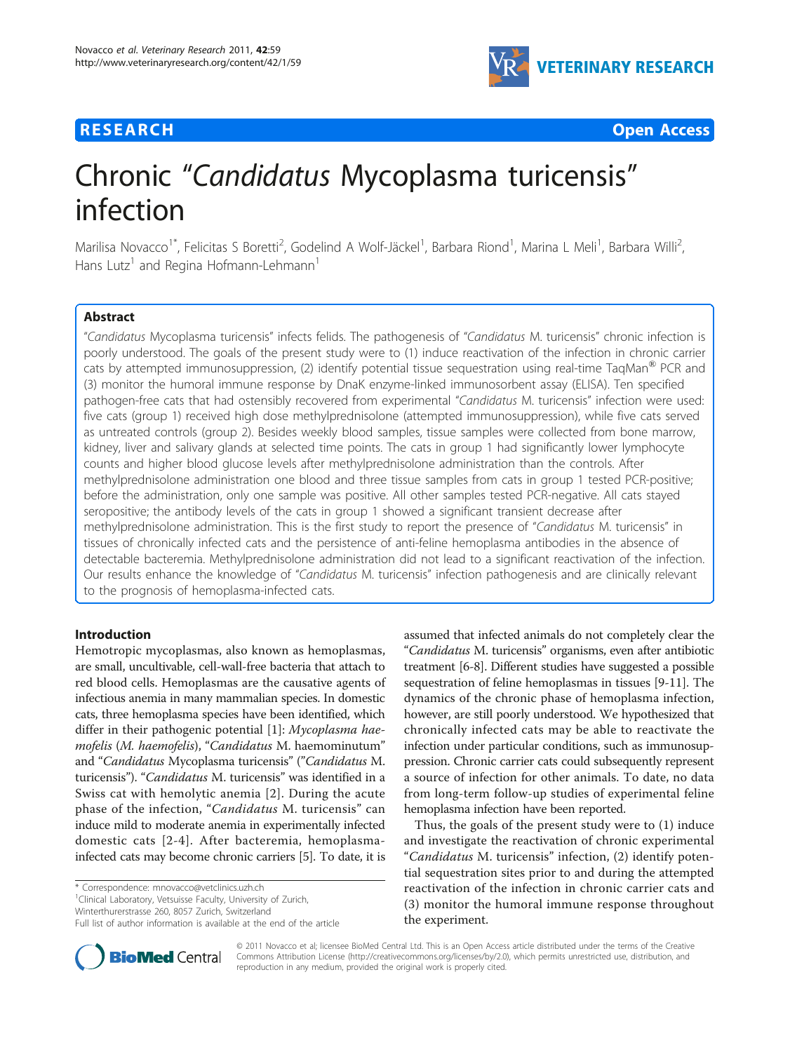# **RESEARCH CONSTRUCTION CONSTRUCTION CONSTRUCTS**



# Chronic "Candidatus Mycoplasma turicensis" infection

Marilisa Novacco<sup>1\*</sup>, Felicitas S Boretti<sup>2</sup>, Godelind A Wolf-Jäckel<sup>1</sup>, Barbara Riond<sup>1</sup>, Marina L Meli<sup>1</sup>, Barbara Willi<sup>2</sup> .<br>, Hans Lutz<sup>1</sup> and Regina Hofmann-Lehmann<sup>1</sup>

# Abstract

"Candidatus Mycoplasma turicensis" infects felids. The pathogenesis of "Candidatus M. turicensis" chronic infection is poorly understood. The goals of the present study were to (1) induce reactivation of the infection in chronic carrier cats by attempted immunosuppression, (2) identify potential tissue sequestration using real-time TaqMan<sup>®</sup> PCR and (3) monitor the humoral immune response by DnaK enzyme-linked immunosorbent assay (ELISA). Ten specified pathogen-free cats that had ostensibly recovered from experimental "Candidatus M. turicensis" infection were used: five cats (group 1) received high dose methylprednisolone (attempted immunosuppression), while five cats served as untreated controls (group 2). Besides weekly blood samples, tissue samples were collected from bone marrow, kidney, liver and salivary glands at selected time points. The cats in group 1 had significantly lower lymphocyte counts and higher blood glucose levels after methylprednisolone administration than the controls. After methylprednisolone administration one blood and three tissue samples from cats in group 1 tested PCR-positive; before the administration, only one sample was positive. All other samples tested PCR-negative. All cats stayed seropositive; the antibody levels of the cats in group 1 showed a significant transient decrease after methylprednisolone administration. This is the first study to report the presence of "Candidatus M. turicensis" in tissues of chronically infected cats and the persistence of anti-feline hemoplasma antibodies in the absence of detectable bacteremia. Methylprednisolone administration did not lead to a significant reactivation of the infection. Our results enhance the knowledge of "Candidatus M. turicensis" infection pathogenesis and are clinically relevant to the prognosis of hemoplasma-infected cats.

# Introduction

Hemotropic mycoplasmas, also known as hemoplasmas, are small, uncultivable, cell-wall-free bacteria that attach to red blood cells. Hemoplasmas are the causative agents of infectious anemia in many mammalian species. In domestic cats, three hemoplasma species have been identified, which differ in their pathogenic potential [[1\]](#page-5-0): Mycoplasma haemofelis (M. haemofelis), "Candidatus M. haemominutum" and "Candidatus Mycoplasma turicensis" ("Candidatus M. turicensis"). "Candidatus M. turicensis" was identified in a Swiss cat with hemolytic anemia [[2\]](#page-5-0). During the acute phase of the infection, "Candidatus M. turicensis" can induce mild to moderate anemia in experimentally infected domestic cats [[2-4\]](#page-5-0). After bacteremia, hemoplasmainfected cats may become chronic carriers [\[5](#page-5-0)]. To date, it is

\* Correspondence: [mnovacco@vetclinics.uzh.ch](mailto:mnovacco@vetclinics.uzh.ch)

<sup>1</sup>Clinical Laboratory, Vetsuisse Faculty, University of Zurich,

Winterthurerstrasse 260, 8057 Zurich, Switzerland

assumed that infected animals do not completely clear the "Candidatus M. turicensis" organisms, even after antibiotic treatment [\[6-8](#page-5-0)]. Different studies have suggested a possible sequestration of feline hemoplasmas in tissues [\[9](#page-5-0)-[11](#page-6-0)]. The dynamics of the chronic phase of hemoplasma infection, however, are still poorly understood. We hypothesized that chronically infected cats may be able to reactivate the infection under particular conditions, such as immunosuppression. Chronic carrier cats could subsequently represent a source of infection for other animals. To date, no data from long-term follow-up studies of experimental feline hemoplasma infection have been reported.

Thus, the goals of the present study were to (1) induce and investigate the reactivation of chronic experimental "Candidatus M. turicensis" infection, (2) identify potential sequestration sites prior to and during the attempted reactivation of the infection in chronic carrier cats and (3) monitor the humoral immune response throughout the experiment.



© 2011 Novacco et al; licensee BioMed Central Ltd. This is an Open Access article distributed under the terms of the Creative Commons Attribution License [\(http://creativecommons.org/licenses/by/2.0](http://creativecommons.org/licenses/by/2.0)), which permits unrestricted use, distribution, and reproduction in any medium, provided the original work is properly cited.

Full list of author information is available at the end of the article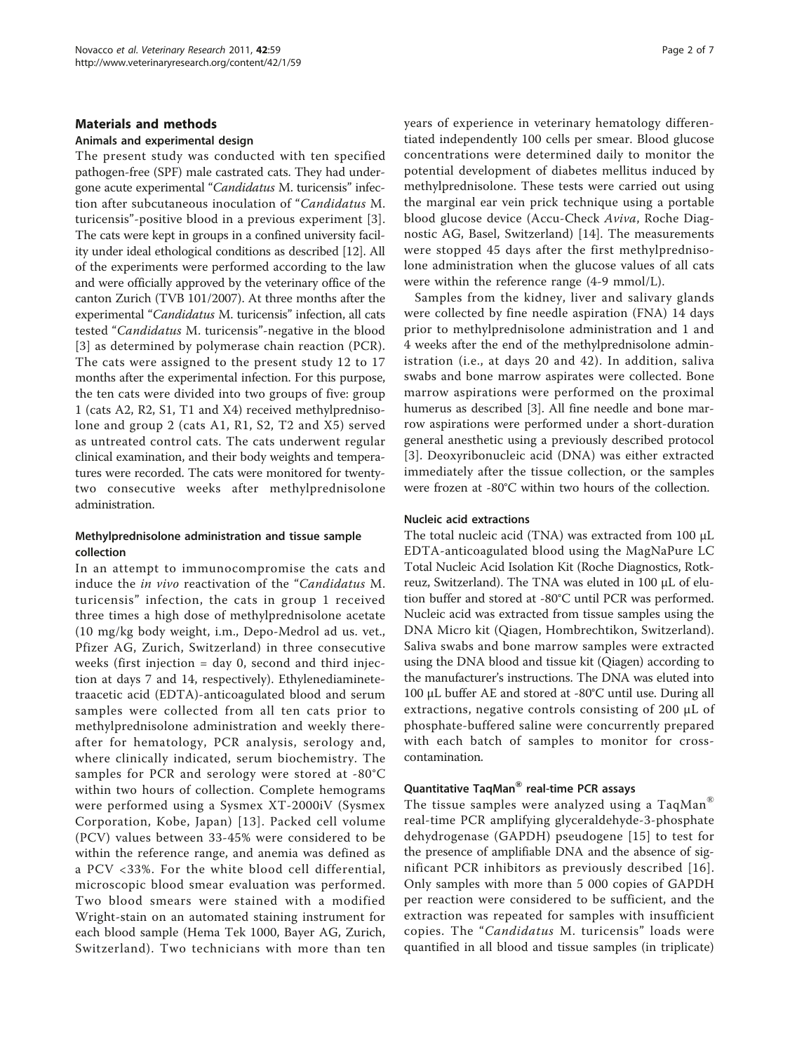# Materials and methods

# Animals and experimental design

The present study was conducted with ten specified pathogen-free (SPF) male castrated cats. They had undergone acute experimental "Candidatus M. turicensis" infection after subcutaneous inoculation of "Candidatus M. turicensis"-positive blood in a previous experiment [[3](#page-5-0)]. The cats were kept in groups in a confined university facility under ideal ethological conditions as described [\[12\]](#page-6-0). All of the experiments were performed according to the law and were officially approved by the veterinary office of the canton Zurich (TVB 101/2007). At three months after the experimental "Candidatus M. turicensis" infection, all cats tested "Candidatus M. turicensis"-negative in the blood [[3](#page-5-0)] as determined by polymerase chain reaction (PCR). The cats were assigned to the present study 12 to 17 months after the experimental infection. For this purpose, the ten cats were divided into two groups of five: group 1 (cats A2, R2, S1, T1 and X4) received methylprednisolone and group 2 (cats A1, R1, S2, T2 and X5) served as untreated control cats. The cats underwent regular clinical examination, and their body weights and temperatures were recorded. The cats were monitored for twentytwo consecutive weeks after methylprednisolone administration.

# Methylprednisolone administration and tissue sample collection

In an attempt to immunocompromise the cats and induce the in vivo reactivation of the "Candidatus M. turicensis" infection, the cats in group 1 received three times a high dose of methylprednisolone acetate (10 mg/kg body weight, i.m., Depo-Medrol ad us. vet., Pfizer AG, Zurich, Switzerland) in three consecutive weeks (first injection = day 0, second and third injection at days 7 and 14, respectively). Ethylenediaminetetraacetic acid (EDTA)-anticoagulated blood and serum samples were collected from all ten cats prior to methylprednisolone administration and weekly thereafter for hematology, PCR analysis, serology and, where clinically indicated, serum biochemistry. The samples for PCR and serology were stored at -80°C within two hours of collection. Complete hemograms were performed using a Sysmex XT-2000iV (Sysmex Corporation, Kobe, Japan) [[13\]](#page-6-0). Packed cell volume (PCV) values between 33-45% were considered to be within the reference range, and anemia was defined as a PCV <33%. For the white blood cell differential, microscopic blood smear evaluation was performed. Two blood smears were stained with a modified Wright-stain on an automated staining instrument for each blood sample (Hema Tek 1000, Bayer AG, Zurich, Switzerland). Two technicians with more than ten years of experience in veterinary hematology differentiated independently 100 cells per smear. Blood glucose concentrations were determined daily to monitor the potential development of diabetes mellitus induced by methylprednisolone. These tests were carried out using the marginal ear vein prick technique using a portable blood glucose device (Accu-Check Aviva, Roche Diagnostic AG, Basel, Switzerland) [\[14](#page-6-0)]. The measurements were stopped 45 days after the first methylprednisolone administration when the glucose values of all cats were within the reference range (4-9 mmol/L).

Samples from the kidney, liver and salivary glands were collected by fine needle aspiration (FNA) 14 days prior to methylprednisolone administration and 1 and 4 weeks after the end of the methylprednisolone administration (i.e., at days 20 and 42). In addition, saliva swabs and bone marrow aspirates were collected. Bone marrow aspirations were performed on the proximal humerus as described [\[3](#page-5-0)]. All fine needle and bone marrow aspirations were performed under a short-duration general anesthetic using a previously described protocol [[3](#page-5-0)]. Deoxyribonucleic acid (DNA) was either extracted immediately after the tissue collection, or the samples were frozen at -80°C within two hours of the collection.

#### Nucleic acid extractions

The total nucleic acid (TNA) was extracted from 100 μL EDTA-anticoagulated blood using the MagNaPure LC Total Nucleic Acid Isolation Kit (Roche Diagnostics, Rotkreuz, Switzerland). The TNA was eluted in 100 μL of elution buffer and stored at -80°C until PCR was performed. Nucleic acid was extracted from tissue samples using the DNA Micro kit (Qiagen, Hombrechtikon, Switzerland). Saliva swabs and bone marrow samples were extracted using the DNA blood and tissue kit (Qiagen) according to the manufacturer's instructions. The DNA was eluted into 100 μL buffer AE and stored at -80°C until use. During all extractions, negative controls consisting of 200 μL of phosphate-buffered saline were concurrently prepared with each batch of samples to monitor for crosscontamination.

# Quantitative TaqMan® real-time PCR assays

The tissue samples were analyzed using a TaqMan® real-time PCR amplifying glyceraldehyde-3-phosphate dehydrogenase (GAPDH) pseudogene [[15](#page-6-0)] to test for the presence of amplifiable DNA and the absence of significant PCR inhibitors as previously described [[16\]](#page-6-0). Only samples with more than 5 000 copies of GAPDH per reaction were considered to be sufficient, and the extraction was repeated for samples with insufficient copies. The "Candidatus M. turicensis" loads were quantified in all blood and tissue samples (in triplicate)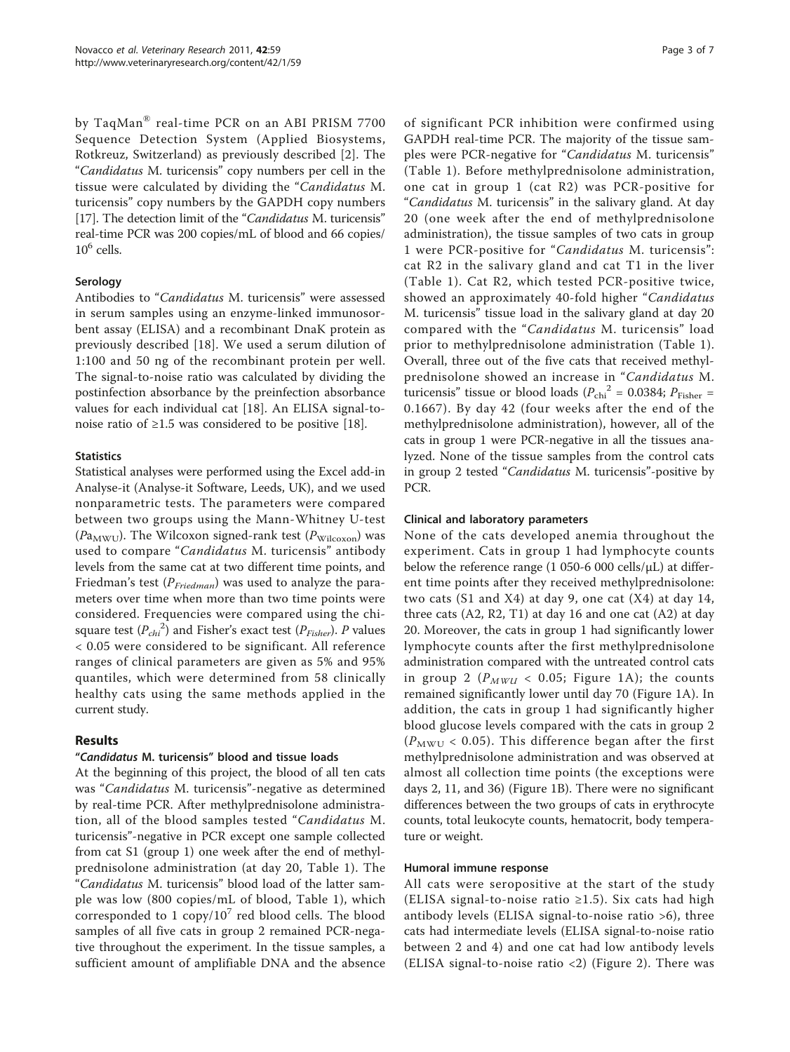by TaqMan® real-time PCR on an ABI PRISM 7700 Sequence Detection System (Applied Biosystems, Rotkreuz, Switzerland) as previously described [[2](#page-5-0)]. The "Candidatus M. turicensis" copy numbers per cell in the tissue were calculated by dividing the "Candidatus M. turicensis" copy numbers by the GAPDH copy numbers [[17](#page-6-0)]. The detection limit of the "Candidatus M. turicensis" real-time PCR was 200 copies/mL of blood and 66 copies/  $10^6$  cells.

# Serology

Antibodies to "Candidatus M. turicensis" were assessed in serum samples using an enzyme-linked immunosorbent assay (ELISA) and a recombinant DnaK protein as previously described [\[18](#page-6-0)]. We used a serum dilution of 1:100 and 50 ng of the recombinant protein per well. The signal-to-noise ratio was calculated by dividing the postinfection absorbance by the preinfection absorbance values for each individual cat [\[18](#page-6-0)]. An ELISA signal-tonoise ratio of  $\geq 1.5$  was considered to be positive [[18\]](#page-6-0).

#### **Statistics**

Statistical analyses were performed using the Excel add-in Analyse-it (Analyse-it Software, Leeds, UK), and we used nonparametric tests. The parameters were compared between two groups using the Mann-Whitney U-test  $(Pa_{\text{MWU}})$ . The Wilcoxon signed-rank test  $(P_{\text{Wilcoxon}})$  was used to compare "Candidatus M. turicensis" antibody levels from the same cat at two different time points, and Friedman's test ( $P_{Friedman}$ ) was used to analyze the parameters over time when more than two time points were considered. Frequencies were compared using the chisquare test  $(P_{chi}^2)$  and Fisher's exact test  $(P_{Fisher})$ . P values < 0.05 were considered to be significant. All reference ranges of clinical parameters are given as 5% and 95% quantiles, which were determined from 58 clinically healthy cats using the same methods applied in the current study.

# Results

#### "Candidatus M. turicensis" blood and tissue loads

At the beginning of this project, the blood of all ten cats was "Candidatus M. turicensis"-negative as determined by real-time PCR. After methylprednisolone administration, all of the blood samples tested "Candidatus M. turicensis"-negative in PCR except one sample collected from cat S1 (group 1) one week after the end of methylprednisolone administration (at day 20, Table [1\)](#page-3-0). The "Candidatus M. turicensis" blood load of the latter sample was low (800 copies/mL of blood, Table [1](#page-3-0)), which corresponded to 1  $\text{copy}/10^7$  red blood cells. The blood samples of all five cats in group 2 remained PCR-negative throughout the experiment. In the tissue samples, a sufficient amount of amplifiable DNA and the absence of significant PCR inhibition were confirmed using GAPDH real-time PCR. The majority of the tissue samples were PCR-negative for "Candidatus M. turicensis" (Table [1\)](#page-3-0). Before methylprednisolone administration, one cat in group 1 (cat R2) was PCR-positive for "Candidatus M. turicensis" in the salivary gland. At day 20 (one week after the end of methylprednisolone administration), the tissue samples of two cats in group 1 were PCR-positive for "Candidatus M. turicensis": cat R2 in the salivary gland and cat T1 in the liver (Table [1\)](#page-3-0). Cat R2, which tested PCR-positive twice, showed an approximately 40-fold higher "Candidatus M. turicensis" tissue load in the salivary gland at day 20 compared with the "Candidatus M. turicensis" load prior to methylprednisolone administration (Table [1](#page-3-0)). Overall, three out of the five cats that received methylprednisolone showed an increase in "Candidatus M. turicensis" tissue or blood loads ( $P_{\text{chi}}^2$  = 0.0384;  $P_{\text{Fisher}}$  = 0.1667). By day 42 (four weeks after the end of the methylprednisolone administration), however, all of the cats in group 1 were PCR-negative in all the tissues analyzed. None of the tissue samples from the control cats in group 2 tested "Candidatus M. turicensis"-positive by PCR.

#### Clinical and laboratory parameters

None of the cats developed anemia throughout the experiment. Cats in group 1 had lymphocyte counts below the reference range (1 050-6 000 cells/ $\mu$ L) at different time points after they received methylprednisolone: two cats (S1 and X4) at day 9, one cat  $(X4)$  at day 14, three cats (A2, R2, T1) at day 16 and one cat (A2) at day 20. Moreover, the cats in group 1 had significantly lower lymphocyte counts after the first methylprednisolone administration compared with the untreated control cats in group 2 ( $P_{MWL}$  < 0.05; Figure [1A\)](#page-3-0); the counts remained significantly lower until day 70 (Figure [1A](#page-3-0)). In addition, the cats in group 1 had significantly higher blood glucose levels compared with the cats in group 2  $(P_{\text{MWU}} < 0.05)$ . This difference began after the first methylprednisolone administration and was observed at almost all collection time points (the exceptions were days 2, 11, and 36) (Figure [1B](#page-3-0)). There were no significant differences between the two groups of cats in erythrocyte counts, total leukocyte counts, hematocrit, body temperature or weight.

#### Humoral immune response

All cats were seropositive at the start of the study (ELISA signal-to-noise ratio ≥1.5). Six cats had high antibody levels (ELISA signal-to-noise ratio >6), three cats had intermediate levels (ELISA signal-to-noise ratio between 2 and 4) and one cat had low antibody levels (ELISA signal-to-noise ratio <2) (Figure [2](#page-3-0)). There was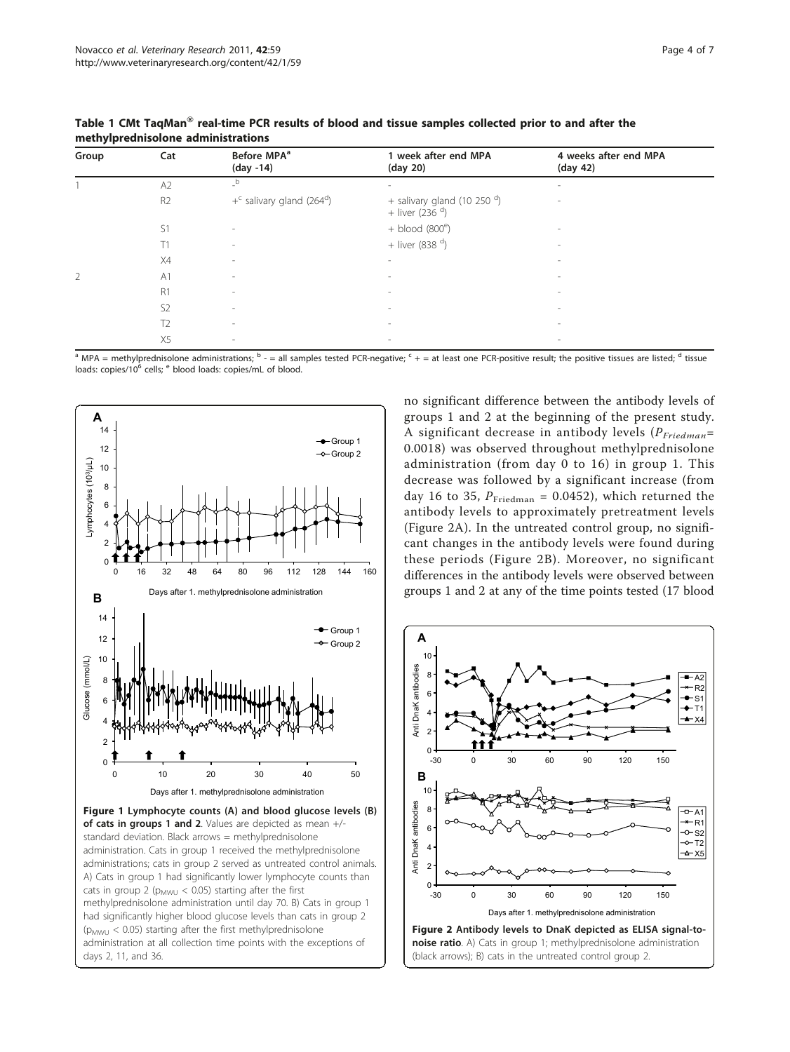| Group | Cat            | Before MPA <sup>a</sup><br>$(day -14)$              | 1 week after end MPA<br>(day 20)                       | 4 weeks after end MPA<br>(day 42) |
|-------|----------------|-----------------------------------------------------|--------------------------------------------------------|-----------------------------------|
|       | A2             | b                                                   | ÷                                                      | $\overline{\phantom{a}}$          |
|       | R <sub>2</sub> | $+$ <sup>c</sup> salivary gland (264 <sup>d</sup> ) | + salivary gland (10 250 $^d$ )<br>+ liver (236 $^d$ ) | $\overline{\phantom{a}}$          |
|       | S1             | $\overline{\phantom{a}}$                            | $+$ blood (800 $^{\circ}$ )                            |                                   |
|       | T1             | $\overline{\phantom{a}}$                            | + liver (838 $d$ )                                     | $\sim$                            |
|       | X4             | $\sim$                                              |                                                        |                                   |
| 2     | A <sub>1</sub> | $\sim$                                              | $\overline{\phantom{a}}$                               | $\sim$                            |
|       | R1             | $\sim$                                              | -                                                      | $\sim$                            |
|       | S <sub>2</sub> | $\sim$                                              | -                                                      | $\sim$                            |
|       | T <sub>2</sub> | $\sim$                                              | $\overline{\phantom{a}}$                               | $\sim$                            |
|       | X5             | $\sim$                                              | $\overline{\phantom{a}}$                               | $\sim$                            |

<span id="page-3-0"></span>Table 1 CMt TaqMan® real-time PCR results of blood and tissue samples collected prior to and after the methylprednisolone administrations

 $a$  MPA = methylprednisolone administrations;  $b - a$  all samples tested PCR-negative;  $c + a$  at least one PCR-positive result; the positive tissues are listed; d tissue loads: copies/10<sup>6</sup> cells; <sup>e</sup> blood loads: copies/mL of blood.



administration. Cats in group 1 received the methylprednisolone administrations; cats in group 2 served as untreated control animals. A) Cats in group 1 had significantly lower lymphocyte counts than cats in group 2 ( $p_{MWU}$  < 0.05) starting after the first methylprednisolone administration until day 70. B) Cats in group 1 had significantly higher blood glucose levels than cats in group 2  $(p_{MWL} < 0.05)$  starting after the first methylprednisolone administration at all collection time points with the exceptions of days 2, 11, and 36.

no significant difference between the antibody levels of groups 1 and 2 at the beginning of the present study. A significant decrease in antibody levels  $(P_{Friedman}=$ 0.0018) was observed throughout methylprednisolone administration (from day 0 to 16) in group 1. This decrease was followed by a significant increase (from day 16 to 35,  $P_{\text{Friedman}} = 0.0452$ ), which returned the antibody levels to approximately pretreatment levels (Figure 2A). In the untreated control group, no significant changes in the antibody levels were found during these periods (Figure 2B). Moreover, no significant differences in the antibody levels were observed between groups 1 and 2 at any of the time points tested (17 blood

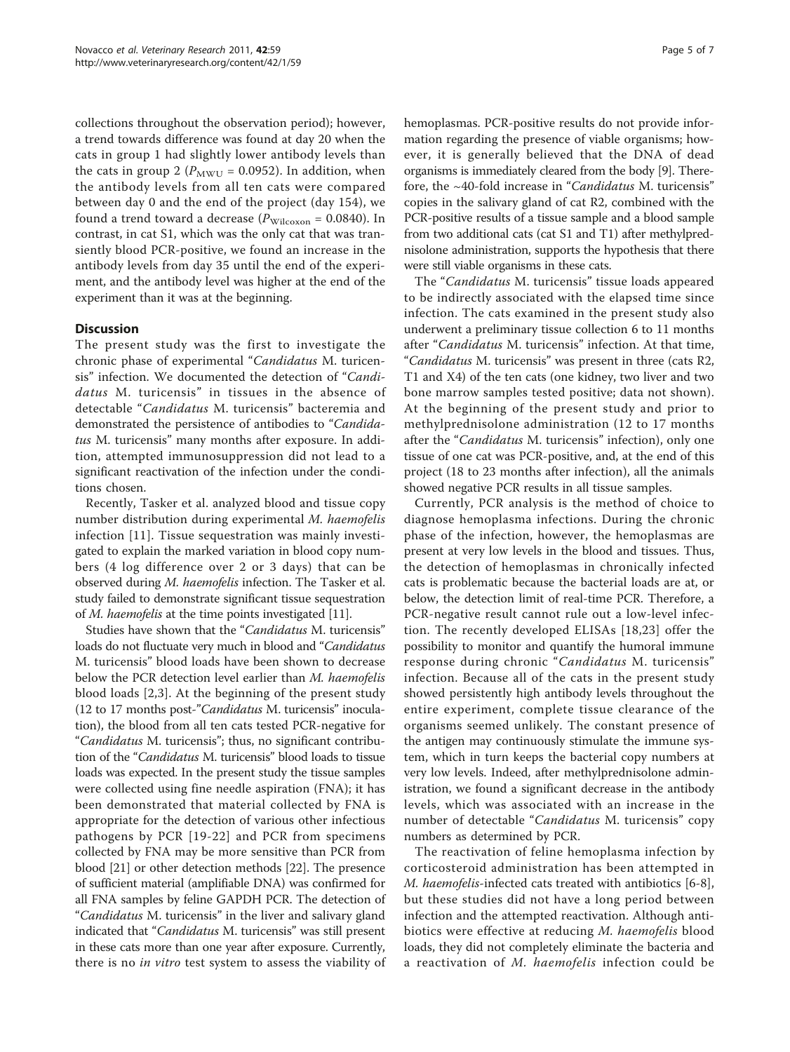collections throughout the observation period); however, a trend towards difference was found at day 20 when the cats in group 1 had slightly lower antibody levels than the cats in group 2 ( $P_{\text{MWU}}$  = 0.0952). In addition, when the antibody levels from all ten cats were compared between day 0 and the end of the project (day 154), we found a trend toward a decrease ( $P_{\text{Wilcoxon}} = 0.0840$ ). In contrast, in cat S1, which was the only cat that was transiently blood PCR-positive, we found an increase in the antibody levels from day 35 until the end of the experiment, and the antibody level was higher at the end of the experiment than it was at the beginning.

# **Discussion**

The present study was the first to investigate the chronic phase of experimental "Candidatus M. turicensis" infection. We documented the detection of "Candidatus M. turicensis" in tissues in the absence of detectable "Candidatus M. turicensis" bacteremia and demonstrated the persistence of antibodies to "Candidatus M. turicensis" many months after exposure. In addition, attempted immunosuppression did not lead to a significant reactivation of the infection under the conditions chosen.

Recently, Tasker et al. analyzed blood and tissue copy number distribution during experimental M. haemofelis infection [\[11\]](#page-6-0). Tissue sequestration was mainly investigated to explain the marked variation in blood copy numbers (4 log difference over 2 or 3 days) that can be observed during M. haemofelis infection. The Tasker et al. study failed to demonstrate significant tissue sequestration of *M. haemofelis* at the time points investigated [[11](#page-6-0)].

Studies have shown that the "Candidatus M. turicensis" loads do not fluctuate very much in blood and "Candidatus M. turicensis" blood loads have been shown to decrease below the PCR detection level earlier than M. haemofelis blood loads [[2,3\]](#page-5-0). At the beginning of the present study (12 to 17 months post-"Candidatus M. turicensis" inoculation), the blood from all ten cats tested PCR-negative for "Candidatus M. turicensis"; thus, no significant contribution of the "Candidatus M. turicensis" blood loads to tissue loads was expected. In the present study the tissue samples were collected using fine needle aspiration (FNA); it has been demonstrated that material collected by FNA is appropriate for the detection of various other infectious pathogens by PCR [[19](#page-6-0)-[22](#page-6-0)] and PCR from specimens collected by FNA may be more sensitive than PCR from blood [[21](#page-6-0)] or other detection methods [\[22](#page-6-0)]. The presence of sufficient material (amplifiable DNA) was confirmed for all FNA samples by feline GAPDH PCR. The detection of "Candidatus M. turicensis" in the liver and salivary gland indicated that "Candidatus M. turicensis" was still present in these cats more than one year after exposure. Currently, there is no *in vitro* test system to assess the viability of hemoplasmas. PCR-positive results do not provide information regarding the presence of viable organisms; however, it is generally believed that the DNA of dead organisms is immediately cleared from the body [\[9\]](#page-5-0). Therefore, the ~40-fold increase in "Candidatus M. turicensis" copies in the salivary gland of cat R2, combined with the PCR-positive results of a tissue sample and a blood sample from two additional cats (cat S1 and T1) after methylprednisolone administration, supports the hypothesis that there were still viable organisms in these cats.

The "Candidatus M. turicensis" tissue loads appeared to be indirectly associated with the elapsed time since infection. The cats examined in the present study also underwent a preliminary tissue collection 6 to 11 months after "Candidatus M. turicensis" infection. At that time, "Candidatus M. turicensis" was present in three (cats R2, T1 and X4) of the ten cats (one kidney, two liver and two bone marrow samples tested positive; data not shown). At the beginning of the present study and prior to methylprednisolone administration (12 to 17 months after the "Candidatus M. turicensis" infection), only one tissue of one cat was PCR-positive, and, at the end of this project (18 to 23 months after infection), all the animals showed negative PCR results in all tissue samples.

Currently, PCR analysis is the method of choice to diagnose hemoplasma infections. During the chronic phase of the infection, however, the hemoplasmas are present at very low levels in the blood and tissues. Thus, the detection of hemoplasmas in chronically infected cats is problematic because the bacterial loads are at, or below, the detection limit of real-time PCR. Therefore, a PCR-negative result cannot rule out a low-level infection. The recently developed ELISAs [[18,23\]](#page-6-0) offer the possibility to monitor and quantify the humoral immune response during chronic "Candidatus M. turicensis" infection. Because all of the cats in the present study showed persistently high antibody levels throughout the entire experiment, complete tissue clearance of the organisms seemed unlikely. The constant presence of the antigen may continuously stimulate the immune system, which in turn keeps the bacterial copy numbers at very low levels. Indeed, after methylprednisolone administration, we found a significant decrease in the antibody levels, which was associated with an increase in the number of detectable "Candidatus M. turicensis" copy numbers as determined by PCR.

The reactivation of feline hemoplasma infection by corticosteroid administration has been attempted in M. haemofelis-infected cats treated with antibiotics [[6-8](#page-5-0)], but these studies did not have a long period between infection and the attempted reactivation. Although antibiotics were effective at reducing M. haemofelis blood loads, they did not completely eliminate the bacteria and a reactivation of M. haemofelis infection could be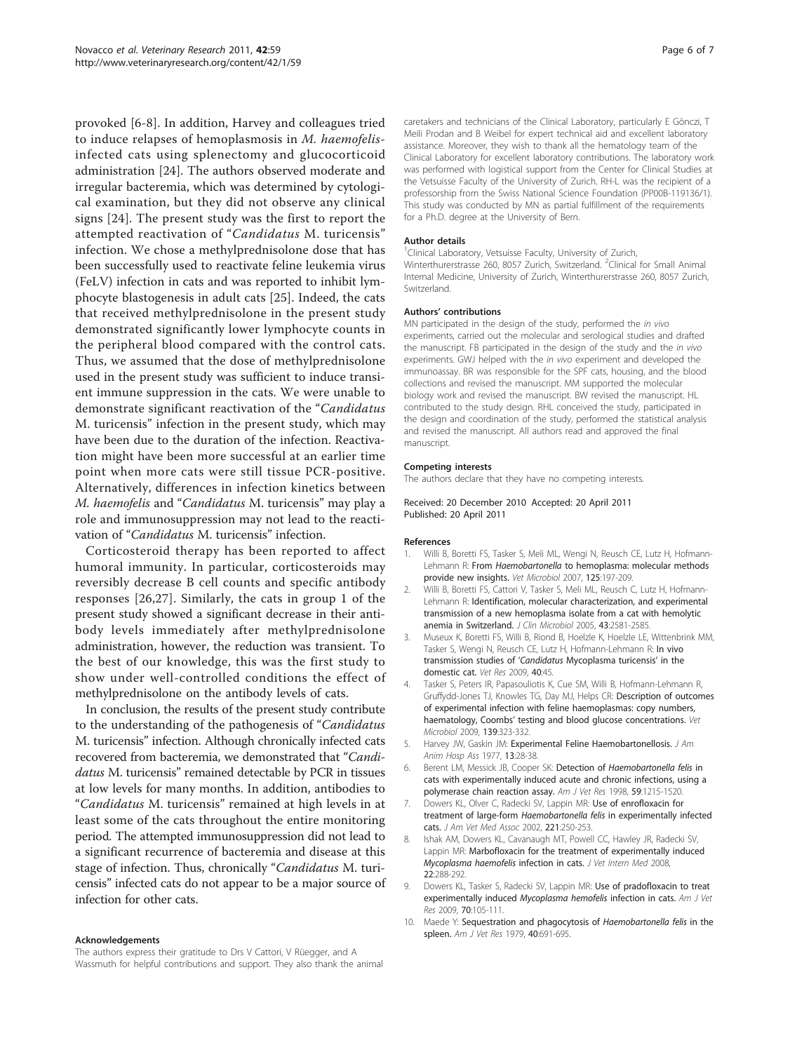<span id="page-5-0"></span>provoked [6-8]. In addition, Harvey and colleagues tried to induce relapses of hemoplasmosis in M. haemofelisinfected cats using splenectomy and glucocorticoid administration [[24\]](#page-6-0). The authors observed moderate and irregular bacteremia, which was determined by cytological examination, but they did not observe any clinical signs [[24](#page-6-0)]. The present study was the first to report the attempted reactivation of "Candidatus M. turicensis" infection. We chose a methylprednisolone dose that has been successfully used to reactivate feline leukemia virus (FeLV) infection in cats and was reported to inhibit lymphocyte blastogenesis in adult cats [[25\]](#page-6-0). Indeed, the cats that received methylprednisolone in the present study demonstrated significantly lower lymphocyte counts in the peripheral blood compared with the control cats. Thus, we assumed that the dose of methylprednisolone used in the present study was sufficient to induce transient immune suppression in the cats. We were unable to demonstrate significant reactivation of the "Candidatus M. turicensis" infection in the present study, which may have been due to the duration of the infection. Reactivation might have been more successful at an earlier time point when more cats were still tissue PCR-positive. Alternatively, differences in infection kinetics between M. haemofelis and "Candidatus M. turicensis" may play a role and immunosuppression may not lead to the reactivation of "Candidatus M. turicensis" infection.

Corticosteroid therapy has been reported to affect humoral immunity. In particular, corticosteroids may reversibly decrease B cell counts and specific antibody responses [[26,27](#page-6-0)]. Similarly, the cats in group 1 of the present study showed a significant decrease in their antibody levels immediately after methylprednisolone administration, however, the reduction was transient. To the best of our knowledge, this was the first study to show under well-controlled conditions the effect of methylprednisolone on the antibody levels of cats.

In conclusion, the results of the present study contribute to the understanding of the pathogenesis of "Candidatus M. turicensis" infection. Although chronically infected cats recovered from bacteremia, we demonstrated that "Candidatus M. turicensis" remained detectable by PCR in tissues at low levels for many months. In addition, antibodies to "Candidatus M. turicensis" remained at high levels in at least some of the cats throughout the entire monitoring period. The attempted immunosuppression did not lead to a significant recurrence of bacteremia and disease at this stage of infection. Thus, chronically "Candidatus M. turicensis" infected cats do not appear to be a major source of infection for other cats.

#### Acknowledgements

The authors express their gratitude to Drs V Cattori, V Rüegger, and A Wassmuth for helpful contributions and support. They also thank the animal caretakers and technicians of the Clinical Laboratory, particularly E Gönczi, T Meili Prodan and B Weibel for expert technical aid and excellent laboratory assistance. Moreover, they wish to thank all the hematology team of the Clinical Laboratory for excellent laboratory contributions. The laboratory work was performed with logistical support from the Center for Clinical Studies at the Vetsuisse Faculty of the University of Zurich. RH-L was the recipient of a professorship from the Swiss National Science Foundation (PP00B-119136/1). This study was conducted by MN as partial fulfillment of the requirements for a Ph.D. degree at the University of Bern.

#### Author details

<sup>1</sup> Clinical Laboratory, Vetsuisse Faculty, University of Zurich Winterthurerstrasse 260, 8057 Zurich, Switzerland. <sup>2</sup>Clinical for Small Animal Internal Medicine, University of Zurich, Winterthurerstrasse 260, 8057 Zurich, Switzerland.

#### Authors' contributions

MN participated in the design of the study, performed the in vivo experiments, carried out the molecular and serological studies and drafted the manuscript. FB participated in the design of the study and the *in vivo* experiments. GWJ helped with the in vivo experiment and developed the immunoassay. BR was responsible for the SPF cats, housing, and the blood collections and revised the manuscript. MM supported the molecular biology work and revised the manuscript. BW revised the manuscript. HL contributed to the study design. RHL conceived the study, participated in the design and coordination of the study, performed the statistical analysis and revised the manuscript. All authors read and approved the final manuscript.

#### Competing interests

The authors declare that they have no competing interests.

#### Received: 20 December 2010 Accepted: 20 April 2011 Published: 20 April 2011

#### References

- 1. Willi B, Boretti FS, Tasker S, Meli ML, Wengi N, Reusch CE, Lutz H, Hofmann-Lehmann R: From *Haemobartonella* [to hemoplasma: molecular methods](http://www.ncbi.nlm.nih.gov/pubmed/17706380?dopt=Abstract) [provide new insights.](http://www.ncbi.nlm.nih.gov/pubmed/17706380?dopt=Abstract) Vet Microbiol 2007, 125:197-209.
- 2. Willi B, Boretti FS, Cattori V, Tasker S, Meli ML, Reusch C, Lutz H, Hofmann-Lehmann R: [Identification, molecular characterization, and experimental](http://www.ncbi.nlm.nih.gov/pubmed/15956367?dopt=Abstract) [transmission of a new hemoplasma isolate from a cat with hemolytic](http://www.ncbi.nlm.nih.gov/pubmed/15956367?dopt=Abstract) [anemia in Switzerland.](http://www.ncbi.nlm.nih.gov/pubmed/15956367?dopt=Abstract) J Clin Microbiol 2005, 43:2581-2585.
- 3. Museux K, Boretti FS, Willi B, Riond B, Hoelzle K, Hoelzle LE, Wittenbrink MM, Tasker S, Wengi N, Reusch CE, Lutz H, Hofmann-Lehmann R: [In vivo](http://www.ncbi.nlm.nih.gov/pubmed/19505421?dopt=Abstract) [transmission studies of](http://www.ncbi.nlm.nih.gov/pubmed/19505421?dopt=Abstract) 'Candidatus Mycoplasma turicensis' in the [domestic cat.](http://www.ncbi.nlm.nih.gov/pubmed/19505421?dopt=Abstract) Vet Res 2009, 40:45.
- 4. Tasker S, Peters IR, Papasouliotis K, Cue SM, Willi B, Hofmann-Lehmann R, Gruffydd-Jones TJ, Knowles TG, Day MJ, Helps CR: [Description of outcomes](http://www.ncbi.nlm.nih.gov/pubmed/19615832?dopt=Abstract) [of experimental infection with feline haemoplasmas: copy numbers,](http://www.ncbi.nlm.nih.gov/pubmed/19615832?dopt=Abstract) haematology, Coombs' [testing and blood glucose concentrations.](http://www.ncbi.nlm.nih.gov/pubmed/19615832?dopt=Abstract) Vet Microbiol 2009, 139:323-332.
- 5. Harvey JW, Gaskin JM: Experimental Feline Haemobartonellosis. J Am Anim Hosp Ass 1977, 13:28-38.
- 6. Berent LM, Messick JB, Cooper SK: Detection of [Haemobartonella felis](http://www.ncbi.nlm.nih.gov/pubmed/9781450?dopt=Abstract) in [cats with experimentally induced acute and chronic infections, using a](http://www.ncbi.nlm.nih.gov/pubmed/9781450?dopt=Abstract) [polymerase chain reaction assay.](http://www.ncbi.nlm.nih.gov/pubmed/9781450?dopt=Abstract) Am J Vet Res 1998, 59:1215-1520.
- 7. Dowers KL, Olver C, Radecki SV, Lappin MR: [Use of enrofloxacin for](http://www.ncbi.nlm.nih.gov/pubmed/12118588?dopt=Abstract) treatment of large-form Haemobartonella felis [in experimentally infected](http://www.ncbi.nlm.nih.gov/pubmed/12118588?dopt=Abstract) [cats.](http://www.ncbi.nlm.nih.gov/pubmed/12118588?dopt=Abstract) J Am Vet Med Assoc 2002, 221:250-253.
- 8. Ishak AM, Dowers KL, Cavanaugh MT, Powell CC, Hawley JR, Radecki SV, Lappin MR: [Marbofloxacin for the treatment of experimentally induced](http://www.ncbi.nlm.nih.gov/pubmed/18312555?dopt=Abstract) [Mycoplasma haemofelis](http://www.ncbi.nlm.nih.gov/pubmed/18312555?dopt=Abstract) infection in cats. J Vet Intern Med 2008, 22:288-292.
- 9. Dowers KL, Tasker S, Radecki SV, Lappin MR: [Use of pradofloxacin to treat](http://www.ncbi.nlm.nih.gov/pubmed/19119955?dopt=Abstract) [experimentally induced](http://www.ncbi.nlm.nih.gov/pubmed/19119955?dopt=Abstract) Mycoplasma hemofelis infection in cats. Am J Vet Res 2009, 70:105-111.
- 10. Maede Y: [Sequestration and phagocytosis of](http://www.ncbi.nlm.nih.gov/pubmed/475112?dopt=Abstract) Haemobartonella felis in the [spleen.](http://www.ncbi.nlm.nih.gov/pubmed/475112?dopt=Abstract) Am J Vet Res 1979, 40:691-695.